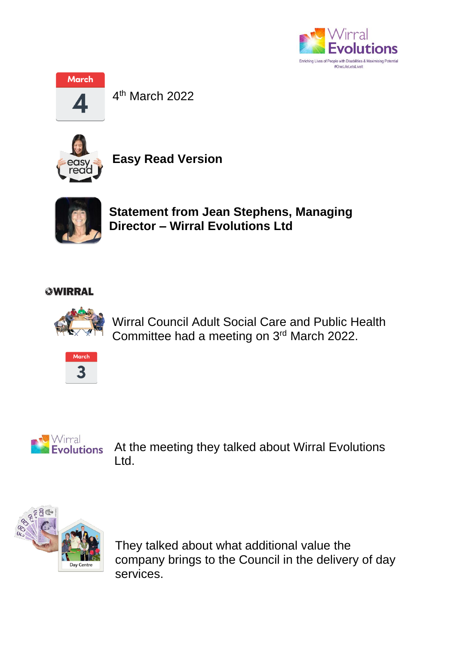



4 th March 2022



**Easy Read Version** 



**Statement from Jean Stephens, Managing Director – Wirral Evolutions Ltd**

## **WIRRAL**



Wirral Council Adult Social Care and Public Health Committee had a meeting on 3rd March 2022.





At the meeting they talked about Wirral Evolutions Ltd.



They talked about what additional value the company brings to the Council in the delivery of day services.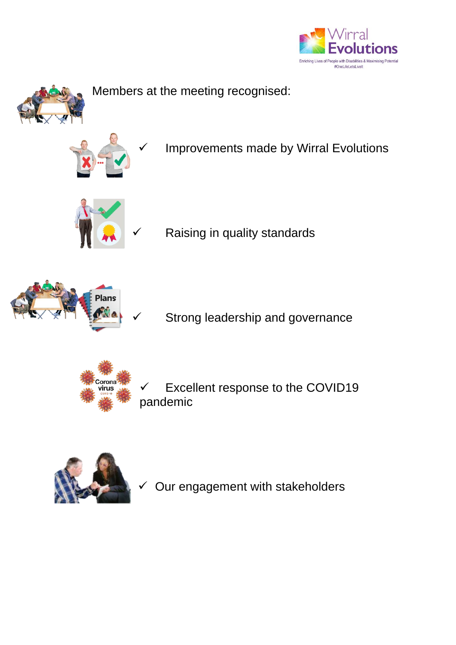



Members at the meeting recognised:



Improvements made by Wirral Evolutions



Raising in quality standards



Strong leadership and governance



Excellent response to the COVID19 pandemic



Our engagement with stakeholders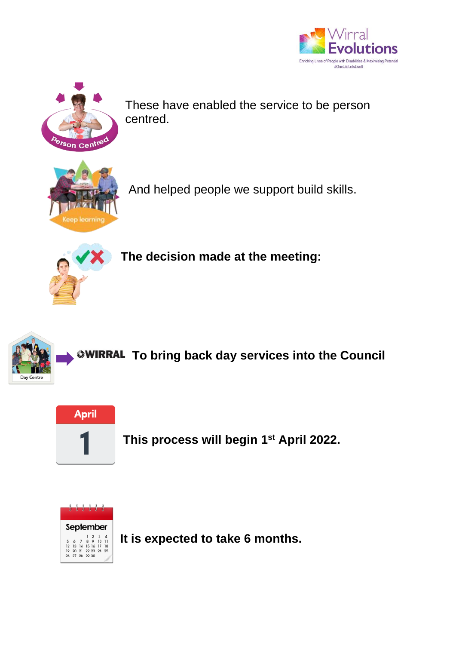



These have enabled the service to be person centred.



And helped people we support build skills.



**The decision made at the meeting:**



**To bring back day services into the Council** 

**April** 

**This process will begin 1st April 2022.**



**It is expected to take 6 months.**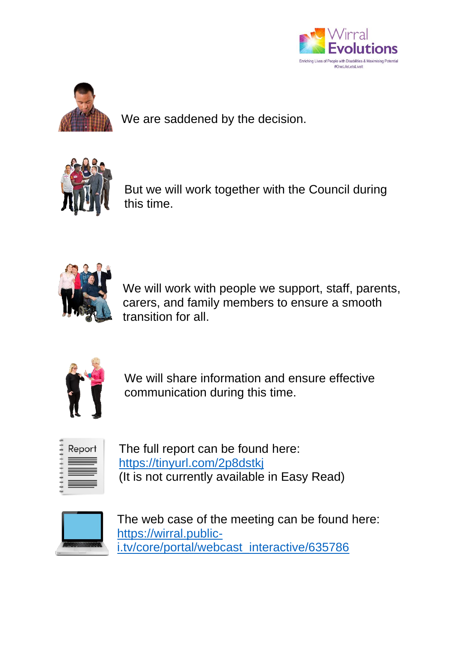



We are saddened by the decision.



But we will work together with the Council during this time.



We will work with people we support, staff, parents, carers, and family members to ensure a smooth transition for all.



We will share information and ensure effective communication during this time.



The full report can be found here: <https://tinyurl.com/2p8dstkj> (It is not currently available in Easy Read)



The web case of the meeting can be found here: [https://wirral.public](https://wirral.public-i.tv/core/portal/webcast_interactive/635786)[i.tv/core/portal/webcast\\_interactive/635786](https://wirral.public-i.tv/core/portal/webcast_interactive/635786)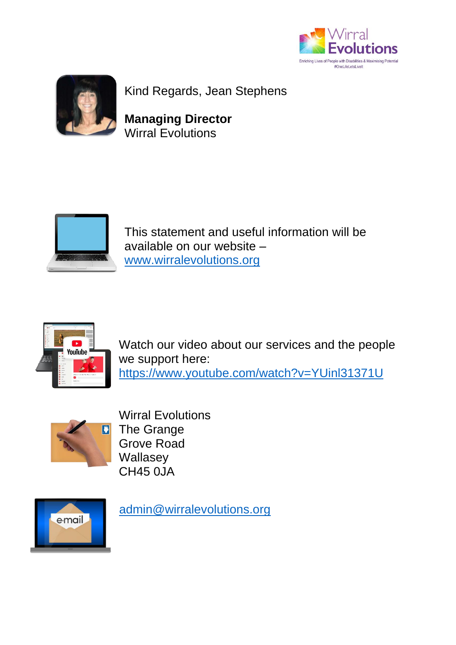



Kind Regards, Jean Stephens

**Managing Director** Wirral Evolutions



This statement and useful information will be available on our website – [www.wirralevolutions.org](http://www.wirralevolutions.org/)



Watch our video about our services and the people we support here: <https://www.youtube.com/watch?v=YUinl31371U>



Wirral Evolutions The Grange Grove Road **Wallasey** CH45 0JA



[admin@wirralevolutions.org](mailto:admin@wirralevolutions.org)